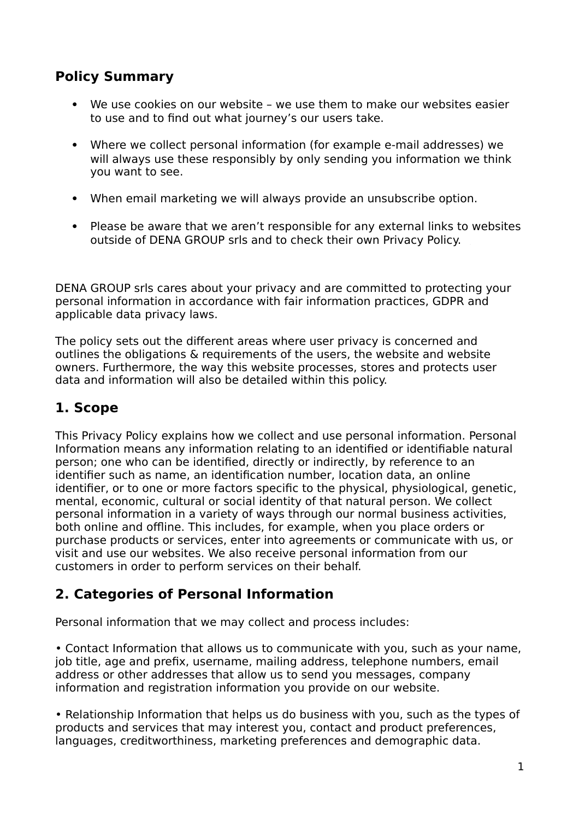### **Policy Summary**

- We use cookies on our website we use them to make our websites easier to use and to find out what journey's our users take.
- Where we collect personal information (for example e-mail addresses) we will always use these responsibly by only sending you information we think you want to see.
- When email marketing we will always provide an unsubscribe option.
- Please be aware that we aren't responsible for any external links to websites outside of DENA GROUP srls and to check their own Privacy Policy.

DENA GROUP srls cares about your privacy and are committed to protecting your personal information in accordance with fair information practices, GDPR and applicable data privacy laws.

The policy sets out the different areas where user privacy is concerned and outlines the obligations & requirements of the users, the website and website owners. Furthermore, the way this website processes, stores and protects user data and information will also be detailed within this policy.

# **1. Scope**

This Privacy Policy explains how we collect and use personal information. Personal Information means any information relating to an identified or identifiable natural person; one who can be identified, directly or indirectly, by reference to an identifier such as name, an identification number, location data, an online identifier, or to one or more factors specific to the physical, physiological, genetic, mental, economic, cultural or social identity of that natural person. We collect personal information in a variety of ways through our normal business activities, both online and offline. This includes, for example, when you place orders or purchase products or services, enter into agreements or communicate with us, or visit and use our websites. We also receive personal information from our customers in order to perform services on their behalf.

# **2. Categories of Personal Information**

Personal information that we may collect and process includes:

• Contact Information that allows us to communicate with you, such as your name, job title, age and prefix, username, mailing address, telephone numbers, email address or other addresses that allow us to send you messages, company information and registration information you provide on our website.

• Relationship Information that helps us do business with you, such as the types of products and services that may interest you, contact and product preferences, languages, creditworthiness, marketing preferences and demographic data.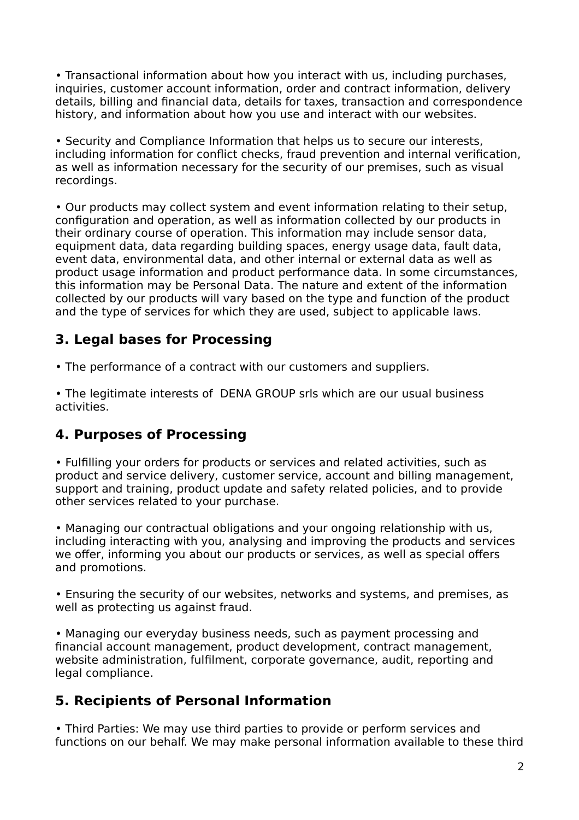• Transactional information about how you interact with us, including purchases, inquiries, customer account information, order and contract information, delivery details, billing and financial data, details for taxes, transaction and correspondence history, and information about how you use and interact with our websites.

• Security and Compliance Information that helps us to secure our interests, including information for conflict checks, fraud prevention and internal verification, as well as information necessary for the security of our premises, such as visual recordings.

• Our products may collect system and event information relating to their setup, configuration and operation, as well as information collected by our products in their ordinary course of operation. This information may include sensor data, equipment data, data regarding building spaces, energy usage data, fault data, event data, environmental data, and other internal or external data as well as product usage information and product performance data. In some circumstances, this information may be Personal Data. The nature and extent of the information collected by our products will vary based on the type and function of the product and the type of services for which they are used, subject to applicable laws.

#### **3. Legal bases for Processing**

• The performance of a contract with our customers and suppliers.

• The legitimate interests of DENA GROUP srls which are our usual business activities.

#### **4. Purposes of Processing**

• Fulfilling your orders for products or services and related activities, such as product and service delivery, customer service, account and billing management, support and training, product update and safety related policies, and to provide other services related to your purchase.

• Managing our contractual obligations and your ongoing relationship with us, including interacting with you, analysing and improving the products and services we offer, informing you about our products or services, as well as special offers and promotions.

• Ensuring the security of our websites, networks and systems, and premises, as well as protecting us against fraud.

• Managing our everyday business needs, such as payment processing and financial account management, product development, contract management, website administration, fulfilment, corporate governance, audit, reporting and legal compliance.

#### **5. Recipients of Personal Information**

• Third Parties: We may use third parties to provide or perform services and functions on our behalf. We may make personal information available to these third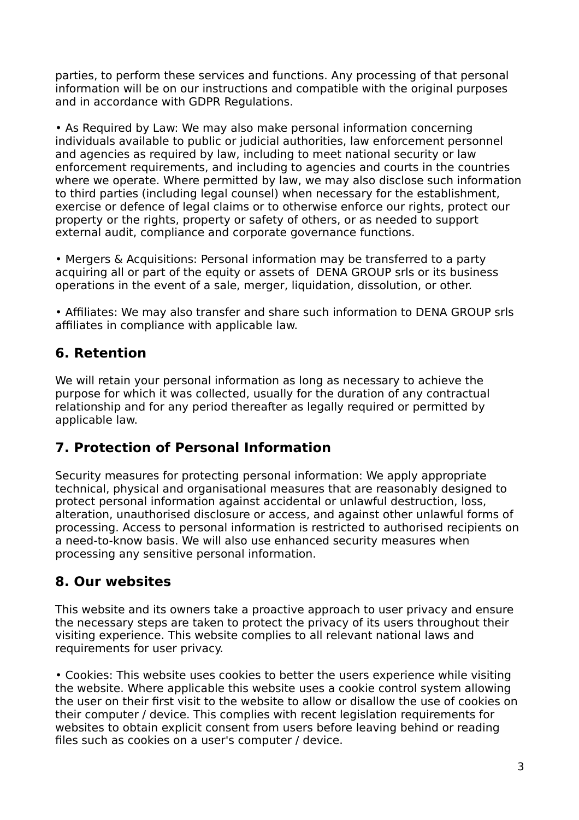parties, to perform these services and functions. Any processing of that personal information will be on our instructions and compatible with the original purposes and in accordance with GDPR Regulations.

• As Required by Law: We may also make personal information concerning individuals available to public or judicial authorities, law enforcement personnel and agencies as required by law, including to meet national security or law enforcement requirements, and including to agencies and courts in the countries where we operate. Where permitted by law, we may also disclose such information to third parties (including legal counsel) when necessary for the establishment, exercise or defence of legal claims or to otherwise enforce our rights, protect our property or the rights, property or safety of others, or as needed to support external audit, compliance and corporate governance functions.

• Mergers & Acquisitions: Personal information may be transferred to a party acquiring all or part of the equity or assets of DENA GROUP srls or its business operations in the event of a sale, merger, liquidation, dissolution, or other.

• Affiliates: We may also transfer and share such information to DENA GROUP srls affiliates in compliance with applicable law.

#### **6. Retention**

We will retain your personal information as long as necessary to achieve the purpose for which it was collected, usually for the duration of any contractual relationship and for any period thereafter as legally required or permitted by applicable law.

#### **7. Protection of Personal Information**

Security measures for protecting personal information: We apply appropriate technical, physical and organisational measures that are reasonably designed to protect personal information against accidental or unlawful destruction, loss, alteration, unauthorised disclosure or access, and against other unlawful forms of processing. Access to personal information is restricted to authorised recipients on a need-to-know basis. We will also use enhanced security measures when processing any sensitive personal information.

#### **8. Our websites**

This website and its owners take a proactive approach to user privacy and ensure the necessary steps are taken to protect the privacy of its users throughout their visiting experience. This website complies to all relevant national laws and requirements for user privacy.

• Cookies: This website uses cookies to better the users experience while visiting the website. Where applicable this website uses a cookie control system allowing the user on their first visit to the website to allow or disallow the use of cookies on their computer / device. This complies with recent legislation requirements for websites to obtain explicit consent from users before leaving behind or reading files such as cookies on a user's computer / device.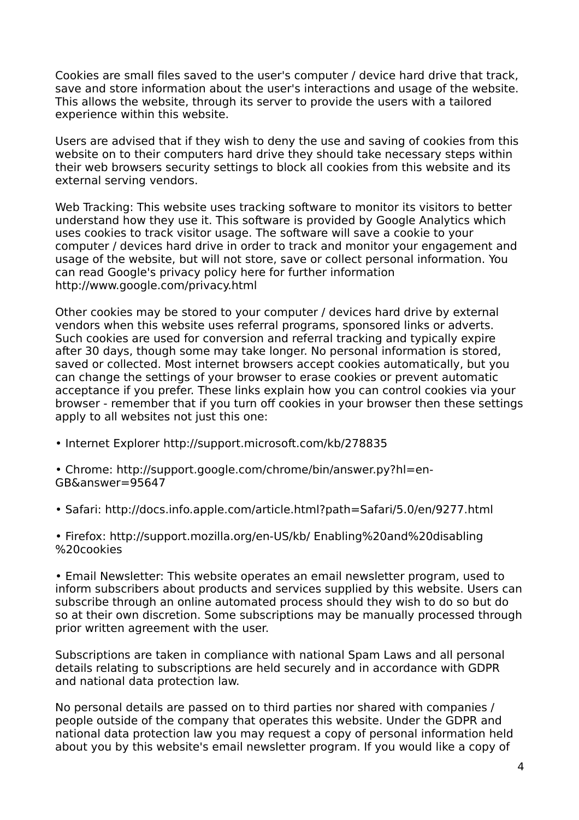Cookies are small files saved to the user's computer / device hard drive that track, save and store information about the user's interactions and usage of the website. This allows the website, through its server to provide the users with a tailored experience within this website.

Users are advised that if they wish to deny the use and saving of cookies from this website on to their computers hard drive they should take necessary steps within their web browsers security settings to block all cookies from this website and its external serving vendors.

Web Tracking: This website uses tracking software to monitor its visitors to better understand how they use it. This software is provided by Google Analytics which uses cookies to track visitor usage. The software will save a cookie to your computer / devices hard drive in order to track and monitor your engagement and usage of the website, but will not store, save or collect personal information. You can read Google's privacy policy here for further information http://www.google.com/privacy.html

Other cookies may be stored to your computer / devices hard drive by external vendors when this website uses referral programs, sponsored links or adverts. Such cookies are used for conversion and referral tracking and typically expire after 30 days, though some may take longer. No personal information is stored, saved or collected. Most internet browsers accept cookies automatically, but you can change the settings of your browser to erase cookies or prevent automatic acceptance if you prefer. These links explain how you can control cookies via your browser - remember that if you turn off cookies in your browser then these settings apply to all websites not just this one:

• Internet Explorer http://support.microsoft.com/kb/278835

• Chrome: http://support.google.com/chrome/bin/answer.py?hl=en-GB&answer=95647

• Safari: http://docs.info.apple.com/article.html?path=Safari/5.0/en/9277.html

• Firefox: http://support.mozilla.org/en-US/kb/ Enabling%20and%20disabling %20cookies

• Email Newsletter: This website operates an email newsletter program, used to inform subscribers about products and services supplied by this website. Users can subscribe through an online automated process should they wish to do so but do so at their own discretion. Some subscriptions may be manually processed through prior written agreement with the user.

Subscriptions are taken in compliance with national Spam Laws and all personal details relating to subscriptions are held securely and in accordance with GDPR and national data protection law.

No personal details are passed on to third parties nor shared with companies / people outside of the company that operates this website. Under the GDPR and national data protection law you may request a copy of personal information held about you by this website's email newsletter program. If you would like a copy of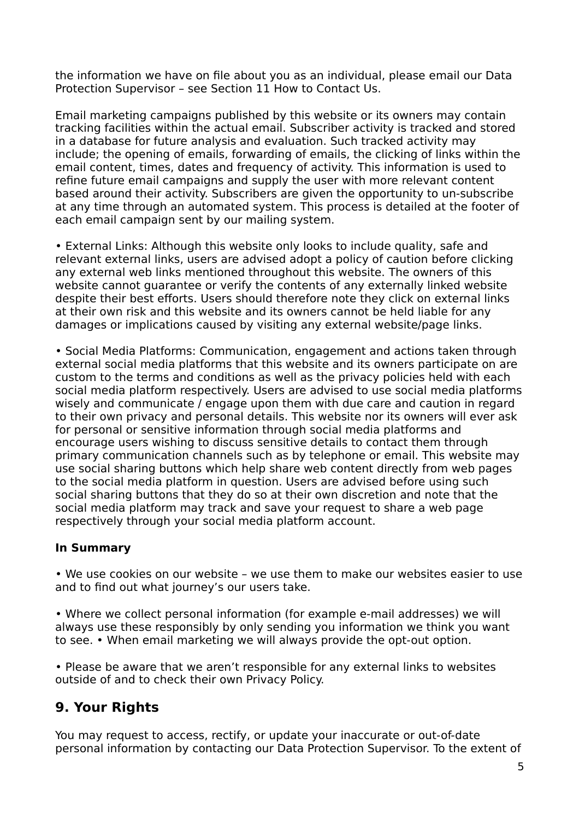the information we have on file about you as an individual, please email our Data Protection Supervisor – see Section 11 How to Contact Us.

Email marketing campaigns published by this website or its owners may contain tracking facilities within the actual email. Subscriber activity is tracked and stored in a database for future analysis and evaluation. Such tracked activity may include; the opening of emails, forwarding of emails, the clicking of links within the email content, times, dates and frequency of activity. This information is used to refine future email campaigns and supply the user with more relevant content based around their activity. Subscribers are given the opportunity to un-subscribe at any time through an automated system. This process is detailed at the footer of each email campaign sent by our mailing system.

• External Links: Although this website only looks to include quality, safe and relevant external links, users are advised adopt a policy of caution before clicking any external web links mentioned throughout this website. The owners of this website cannot guarantee or verify the contents of any externally linked website despite their best efforts. Users should therefore note they click on external links at their own risk and this website and its owners cannot be held liable for any damages or implications caused by visiting any external website/page links.

• Social Media Platforms: Communication, engagement and actions taken through external social media platforms that this website and its owners participate on are custom to the terms and conditions as well as the privacy policies held with each social media platform respectively. Users are advised to use social media platforms wisely and communicate / engage upon them with due care and caution in regard to their own privacy and personal details. This website nor its owners will ever ask for personal or sensitive information through social media platforms and encourage users wishing to discuss sensitive details to contact them through primary communication channels such as by telephone or email. This website may use social sharing buttons which help share web content directly from web pages to the social media platform in question. Users are advised before using such social sharing buttons that they do so at their own discretion and note that the social media platform may track and save your request to share a web page respectively through your social media platform account.

#### **In Summary**

• We use cookies on our website – we use them to make our websites easier to use and to find out what journey's our users take.

• Where we collect personal information (for example e-mail addresses) we will always use these responsibly by only sending you information we think you want to see. • When email marketing we will always provide the opt-out option.

• Please be aware that we aren't responsible for any external links to websites outside of and to check their own Privacy Policy.

# **9. Your Rights**

You may request to access, rectify, or update your inaccurate or out-of-date personal information by contacting our Data Protection Supervisor. To the extent of